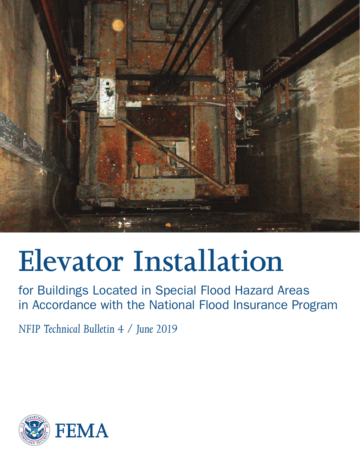

# **Elevator Installation**

for Buildings Located in Special Flood Hazard Areas in Accordance with the National Flood Insurance Program

*NFIP Technical Bulletin 4 / June 2019*

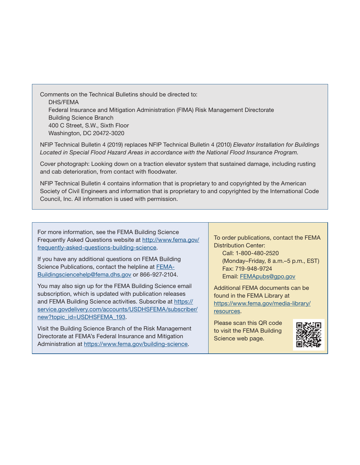Comments on the Technical Bulletins should be directed to: DHS/FEMA Federal Insurance and Mitigation Administration (FIMA) Risk Management Directorate Building Science Branch 400 C Street, S.W., Sixth Floor Washington, DC 20472-3020

NFIP Technical Bulletin 4 (2019) replaces NFIP Technical Bulletin 4 (2010) *Elevator Installation for Buildings Located in Special Flood Hazard Areas in accordance with the National Flood Insurance Program.*

Cover photograph: Looking down on a traction elevator system that sustained damage, including rusting and cab deterioration, from contact with floodwater.

NFIP Technical Bulletin 4 contains information that is proprietary to and copyrighted by the American Society of Civil Engineers and information that is proprietary to and copyrighted by the International Code Council, Inc. All information is used with permission.

For more information, see the FEMA Building Science Frequently Asked Questions website at [http://www.fema.gov/](http://www.fema.gov/frequently-asked-questions-building-science) [frequently-asked-questions-building-science.](http://www.fema.gov/frequently-asked-questions-building-science)

If you have any additional questions on FEMA Building Science Publications, contact the helpline at [FEMA-](mailto:FEMA-Buildingsciencehelp%40fema.dhs.gov?subject=)[Buildingsciencehelp@fema.dhs.gov](mailto:FEMA-Buildingsciencehelp%40fema.dhs.gov?subject=) or 866-927-2104.

You may also sign up for the FEMA Building Science email subscription, which is updated with publication releases and FEMA Building Science activities. Subscribe at [https://](https://service.govdelivery.com/accounts/USDHSFEMA/subscriber/new?topic_id=USDHSFEMA_193) [service.govdelivery.com/accounts/USDHSFEMA/subscriber/](https://service.govdelivery.com/accounts/USDHSFEMA/subscriber/new?topic_id=USDHSFEMA_193) [new](https://service.govdelivery.com/accounts/USDHSFEMA/subscriber/new?topic_id=USDHSFEMA_193)?topic\_id=USDHSFEMA\_193.

Visit the Building Science Branch of the Risk Management Directorate at FEMA's Federal Insurance and Mitigation Administration at <https://www.fema.gov/building-science>.

To order publications, contact the FEMA Distribution Center:

Call: 1-800-480-2520 (Monday–Friday, 8 a.m.–5 p.m., EST) Fax: 719-948-9724 Email: [FEMApubs@gpo.gov](http://FEMApubs@gpo.gov)

Additional FEMA documents can be found in the FEMA Library at [https://www.fema.gov/media-library/](https://www.fema.gov/media-library/resources) [resources.](https://www.fema.gov/media-library/resources)

Please scan this QR code to visit the FEMA Building Science web page.

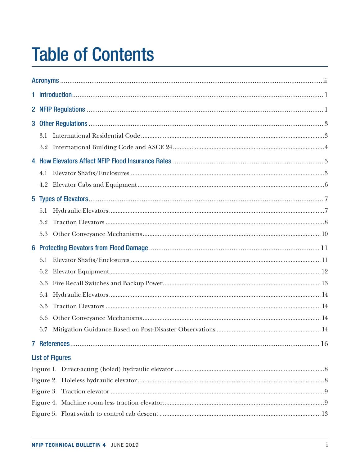## **Table of Contents**

| 3.1                    |  |  |  |  |
|------------------------|--|--|--|--|
| 3.2                    |  |  |  |  |
|                        |  |  |  |  |
| 4.1                    |  |  |  |  |
|                        |  |  |  |  |
|                        |  |  |  |  |
| 5.1                    |  |  |  |  |
| 5.2                    |  |  |  |  |
| 5.3                    |  |  |  |  |
|                        |  |  |  |  |
| 6.1                    |  |  |  |  |
| 6.2                    |  |  |  |  |
| 6.3                    |  |  |  |  |
| 6.4                    |  |  |  |  |
| 6.5                    |  |  |  |  |
| 6.6                    |  |  |  |  |
| 6.7                    |  |  |  |  |
|                        |  |  |  |  |
| <b>List of Figures</b> |  |  |  |  |
|                        |  |  |  |  |
|                        |  |  |  |  |
|                        |  |  |  |  |
|                        |  |  |  |  |
|                        |  |  |  |  |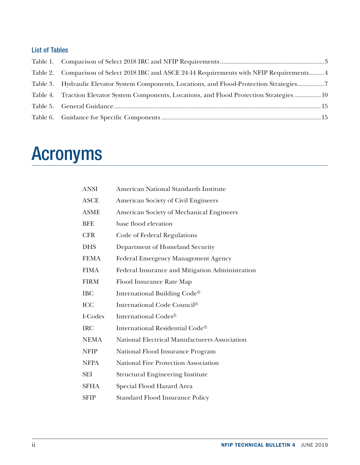### <span id="page-3-0"></span>List of Tables

| Table 2. Comparison of Select 2018 IBC and ASCE 24-14 Requirements with NFIP Requirements 4 |  |
|---------------------------------------------------------------------------------------------|--|
| Table 3. Hydraulic Elevator System Components, Locations, and Flood-Protection Strategies7  |  |
| Table 4. Traction Elevator System Components, Locations, and Flood Protection Strategies 10 |  |
|                                                                                             |  |
|                                                                                             |  |

## Acronyms

| <b>ANSI</b> | American National Standards Institute           |
|-------------|-------------------------------------------------|
| <b>ASCE</b> | <b>American Society of Civil Engineers</b>      |
| <b>ASME</b> | American Society of Mechanical Engineers        |
| <b>BFE</b>  | base flood elevation                            |
| <b>CFR</b>  | Code of Federal Regulations                     |
| <b>DHS</b>  | Department of Homeland Security                 |
| <b>FEMA</b> | <b>Federal Emergency Management Agency</b>      |
| <b>FIMA</b> | Federal Insurance and Mitigation Administration |
| <b>FIRM</b> | Flood Insurance Rate Map                        |
| <b>IBC</b>  | International Building Code®                    |
| <b>ICC</b>  | International Code Council®                     |
| I-Codes     | International Codes®                            |
| <b>IRC</b>  | International Residential Code®                 |
| <b>NEMA</b> | National Electrical Manufacturers Association   |
| <b>NFIP</b> | National Flood Insurance Program                |
| <b>NFPA</b> | <b>National Fire Protection Association</b>     |
| <b>SEI</b>  | <b>Structural Engineering Institute</b>         |
| <b>SFHA</b> | Special Flood Hazard Area                       |
| <b>SFIP</b> | <b>Standard Flood Insurance Policy</b>          |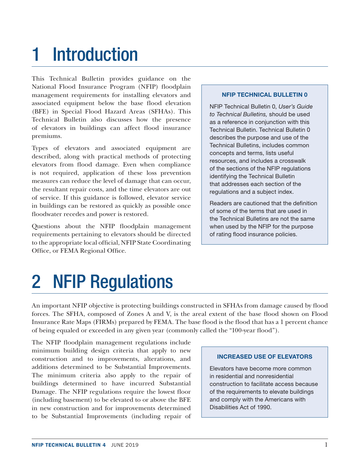## <span id="page-4-0"></span>1 Introduction

This Technical Bulletin provides guidance on the National Flood Insurance Program (NFIP) floodplain management requirements for installing elevators and associated equipment below the base flood elevation (BFE) in Special Flood Hazard Areas (SFHAs). This Technical Bulletin also discusses how the presence of elevators in buildings can affect flood insurance premiums.

Types of elevators and associated equipment are described, along with practical methods of protecting elevators from flood damage. Even when compliance is not required, application of these loss prevention measures can reduce the level of damage that can occur, the resultant repair costs, and the time elevators are out of service. If this guidance is followed, elevator service in buildings can be restored as quickly as possible once floodwater recedes and power is restored.

Questions about the NFIP floodplain management requirements pertaining to elevators should be directed to the appropriate local official, NFIP State Coordinating Office, or FEMA Regional Office.

#### NFIP TECHNICAL BULLETIN 0

NFIP Technical Bulletin 0, *User's Guide to Technical Bulletins,* should be used as a reference in conjunction with this Technical Bulletin. Technical Bulletin 0 describes the purpose and use of the Technical Bulletins, includes common concepts and terms, lists useful resources, and includes a crosswalk of the sections of the NFIP regulations identifying the Technical Bulletin that addresses each section of the regulations and a subject index.

Readers are cautioned that the definition of some of the terms that are used in the Technical Bulletins are not the same when used by the NFIP for the purpose of rating flood insurance policies.

## 2 NFIP Regulations

An important NFIP objective is protecting buildings constructed in SFHAs from damage caused by flood forces. The SFHA, composed of Zones A and V, is the areal extent of the base flood shown on Flood Insurance Rate Maps (FIRMs) prepared by FEMA. The base flood is the flood that has a 1 percent chance of being equaled or exceeded in any given year (commonly called the "100-year flood").

The NFIP floodplain management regulations include minimum building design criteria that apply to new construction and to improvements, alterations, and additions determined to be Substantial Improvements. The minimum criteria also apply to the repair of buildings determined to have incurred Substantial Damage. The NFIP regulations require the lowest floor (including basement) to be elevated to or above the BFE in new construction and for improvements determined to be Substantial Improvements (including repair of

#### INCREASED USE OF ELEVATORS

Elevators have become more common in residential and nonresidential construction to facilitate access because of the requirements to elevate buildings and comply with the Americans with Disabilities Act of 1990.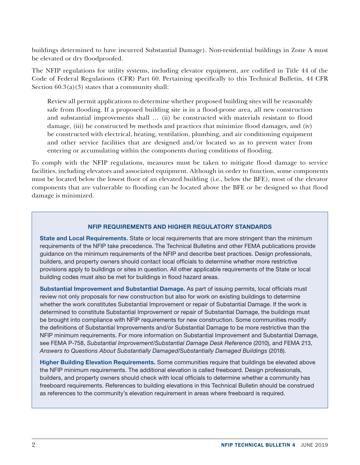buildings determined to have incurred Substantial Damage). Non-residential buildings in Zone A must be elevated or dry floodproofed.

The NFIP regulations for utility systems, including elevator equipment, are codified in Title 44 of the Code of Federal Regulations (CFR) Part 60. Pertaining specifically to this Technical Bulletin, 44 CFR Section  $60.3(a)(3)$  states that a community shall:

Review all permit applications to determine whether proposed building sites will be reasonably safe from flooding. If a proposed building site is in a flood-prone area, all new construction and substantial improvements shall … (ii) be constructed with materials resistant to flood damage, (iii) be constructed by methods and practices that minimize flood damages, and (iv) be constructed with electrical, heating, ventilation, plumbing, and air conditioning equipment and other service facilities that are designed and/or located so as to prevent water from entering or accumulating within the components during conditions of flooding.

To comply with the NFIP regulations, measures must be taken to mitigate flood damage to service facilities, including elevators and associated equipment. Although in order to function, some components must be located below the lowest floor of an elevated building (i.e., below the BFE), most of the elevator components that are vulnerable to flooding can be located above the BFE or be designed so that flood damage is minimized.

### NFIP REQUIREMENTS AND HIGHER REGULATORY STANDARDS

State and Local Requirements. State or local requirements that are more stringent than the minimum requirements of the NFIP take precedence. The Technical Bulletins and other FEMA publications provide guidance on the minimum requirements of the NFIP and describe best practices. Design professionals, builders, and property owners should contact local officials to determine whether more restrictive provisions apply to buildings or sites in question. All other applicable requirements of the State or local building codes must also be met for buildings in flood hazard areas.

Substantial Improvement and Substantial Damage. As part of issuing permits, local officials must review not only proposals for new construction but also for work on existing buildings to determine whether the work constitutes Substantial Improvement or repair of Substantial Damage. If the work is determined to constitute Substantial Improvement or repair of Substantial Damage, the buildings must be brought into compliance with NFIP requirements for new construction. Some communities modify the definitions of Substantial Improvements and/or Substantial Damage to be more restrictive than the NFIP minimum requirements. For more information on Substantial Improvement and Substantial Damage, see FEMA P-758, *Substantial Improvement/Substantial Damage Desk Reference* (2010), and FEMA 213, *Answers to Questions About Substantially Damaged/Substantially Damaged Buildings* (2018).

Higher Building Elevation Requirements. Some communities require that buildings be elevated above the NFIP minimum requirements. The additional elevation is called freeboard. Design professionals, builders, and property owners should check with local officials to determine whether a community has freeboard requirements. References to building elevations in this Technical Bulletin should be construed as references to the community's elevation requirement in areas where freeboard is required.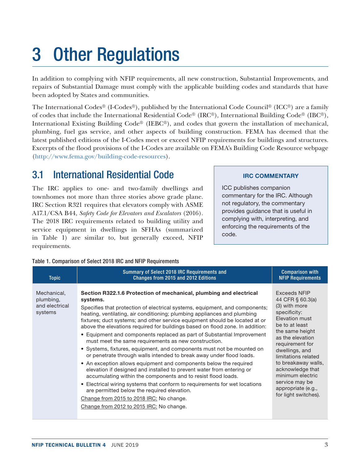## <span id="page-6-0"></span>3 Other Regulations

In addition to complying with NFIP requirements, all new construction, Substantial Improvements, and repairs of Substantial Damage must comply with the applicable building codes and standards that have been adopted by States and communities.

The International Codes® (I-Codes®), published by the International Code Council® (ICC®) are a family of codes that include the International Residential Code® (IRC®), International Building Code® (IBC®), International Existing Building Code® (IEBC®), and codes that govern the installation of mechanical, plumbing, fuel gas service, and other aspects of building construction. FEMA has deemed that the latest published editions of the I-Codes meet or exceed NFIP requirements for buildings and structures. Excerpts of the flood provisions of the I-Codes are available on FEMA's Building Code Resource webpage [\(http://www.fema.gov/building-code-resources\)](http://www.fema.gov/building-code-resources).

## 3.1 International Residential Code

The IRC applies to one- and two-family dwellings and townhomes not more than three stories above grade plane. IRC Section R321 requires that elevators comply with ASME A17.1/CSA B44, *Safety Code for Elevators and Escalators* (2016)*.* The 2018 IRC requirements related to building utility and service equipment in dwellings in SFHAs (summarized in Table 1) are similar to, but generally exceed, NFIP requirements.

### IRC COMMENTARY

ICC publishes companion commentary for the IRC. Although not regulatory, the commentary provides guidance that is useful in complying with, interpreting, and enforcing the requirements of the code.

#### Table 1. Comparison of Select 2018 IRC and NFIP Requirements

| <b>Topic</b>                                          | Summary of Select 2018 IRC Requirements and<br>Changes from 2015 and 2012 Editions                                                                                                                                                                                                                                                                                                                                                                                                                                                                                                                                                                                                                                                                                                                                                                                                                                                                                                                                                                                                                                               | <b>Comparison with</b><br><b>NFIP Requirements</b>                                                                                                                                                                                                                                                                                             |
|-------------------------------------------------------|----------------------------------------------------------------------------------------------------------------------------------------------------------------------------------------------------------------------------------------------------------------------------------------------------------------------------------------------------------------------------------------------------------------------------------------------------------------------------------------------------------------------------------------------------------------------------------------------------------------------------------------------------------------------------------------------------------------------------------------------------------------------------------------------------------------------------------------------------------------------------------------------------------------------------------------------------------------------------------------------------------------------------------------------------------------------------------------------------------------------------------|------------------------------------------------------------------------------------------------------------------------------------------------------------------------------------------------------------------------------------------------------------------------------------------------------------------------------------------------|
| Mechanical,<br>plumbing,<br>and electrical<br>systems | Section R322.1.6 Protection of mechanical, plumbing and electrical<br>systems.<br>Specifies that protection of electrical systems, equipment, and components;<br>heating, ventilating, air conditioning; plumbing appliances and plumbing<br>fixtures; duct systems; and other service equipment should be located at or<br>above the elevations required for buildings based on flood zone. In addition:<br>• Equipment and components replaced as part of Substantial Improvement<br>must meet the same requirements as new construction.<br>• Systems, fixtures, equipment, and components must not be mounted on<br>or penetrate through walls intended to break away under flood loads.<br>• An exception allows equipment and components below the required<br>elevation if designed and installed to prevent water from entering or<br>accumulating within the components and to resist flood loads.<br>• Electrical wiring systems that conform to requirements for wet locations<br>are permitted below the required elevation.<br>Change from 2015 to 2018 IRC: No change.<br>Change from 2012 to 2015 IRC: No change. | <b>Exceeds NFIP</b><br>44 CFR § 60.3(a)<br>(3) with more<br>specificity:<br>Elevation must<br>be to at least<br>the same height<br>as the elevation<br>requirement for<br>dwellings, and<br>limitations related<br>to breakaway walls,<br>acknowledge that<br>minimum electric<br>service may be<br>appropriate (e.g.,<br>for light switches). |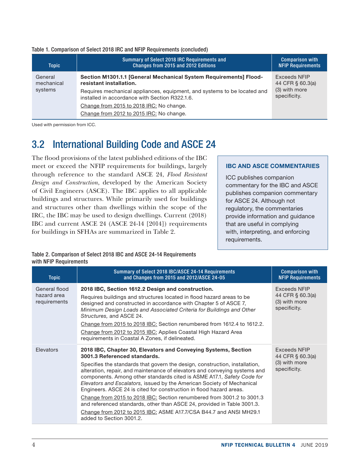<span id="page-7-0"></span>

|  |  | Table 1. Comparison of Select 2018 IRC and NFIP Requirements (concluded) |  |  |  |
|--|--|--------------------------------------------------------------------------|--|--|--|
|--|--|--------------------------------------------------------------------------|--|--|--|

| <b>Topic</b>          | Summary of Select 2018 IRC Requirements and<br>Changes from 2015 and 2012 Editions                                         | <b>Comparison with</b><br><b>NFIP Requirements</b> |
|-----------------------|----------------------------------------------------------------------------------------------------------------------------|----------------------------------------------------|
| General<br>mechanical | Section M1301.1.1 [General Mechanical System Requirements] Flood-<br>resistant installation.                               | Exceeds NFIP<br>44 CFR § 60.3(a)                   |
| systems               | Requires mechanical appliances, equipment, and systems to be located and<br>installed in accordance with Section R322.1.6. | (3) with more<br>specificity.                      |
|                       | Change from 2015 to 2018 IRC: No change.                                                                                   |                                                    |
|                       | Change from 2012 to 2015 IRC: No change.                                                                                   |                                                    |

Used with permission from ICC.

## 3.2 International Building Code and ASCE 24

The flood provisions of the latest published editions of the IBC meet or exceed the NFIP requirements for buildings, largely through reference to the standard ASCE 24, *Flood Resistant Design and Construction*, developed by the American Society of Civil Engineers (ASCE). The IBC applies to all applicable buildings and structures. While primarily used for buildings and structures other than dwellings within the scope of the IRC, the IBC may be used to design dwellings. Current (2018) IBC and current ASCE 24 (ASCE 24-14 [2014]) requirements for buildings in SFHAs are summarized in Table 2.

#### IBC AND ASCE COMMENTARIES

ICC publishes companion commentary for the IBC and ASCE publishes companion commentary for ASCE 24. Although not regulatory, the commentaries provide information and guidance that are useful in complying with, interpreting, and enforcing requirements.

#### Table 2. Comparison of Select 2018 IBC and ASCE 24-14 Requirements with NFIP Requirements

| <b>Topic</b>                                 | Summary of Select 2018 IBC/ASCE 24-14 Requirements<br>and Changes from 2015 and 2012/ASCE 24-05                                                                                                                                                                                                                                                                                                                                                                                                                                                                                                                                                                                                                                               | <b>Comparison with</b><br><b>NFIP Requirements</b>                |
|----------------------------------------------|-----------------------------------------------------------------------------------------------------------------------------------------------------------------------------------------------------------------------------------------------------------------------------------------------------------------------------------------------------------------------------------------------------------------------------------------------------------------------------------------------------------------------------------------------------------------------------------------------------------------------------------------------------------------------------------------------------------------------------------------------|-------------------------------------------------------------------|
| General flood<br>hazard area<br>requirements | 2018 IBC, Section 1612.2 Design and construction.<br>Requires buildings and structures located in flood hazard areas to be<br>designed and constructed in accordance with Chapter 5 of ASCE 7,<br>Minimum Design Loads and Associated Criteria for Buildings and Other<br>Structures, and ASCE 24.<br>Change from 2015 to 2018 IBC: Section renumbered from 1612.4 to 1612.2.<br>Change from 2012 to 2015 IBC: Applies Coastal High Hazard Area<br>requirements in Coastal A Zones, if delineated.                                                                                                                                                                                                                                            | Exceeds NFIP<br>44 CFR § 60.3(a)<br>(3) with more<br>specificity. |
| Elevators                                    | 2018 IBC, Chapter 30, Elevators and Conveying Systems, Section<br>3001.3 Referenced standards.<br>Specifies the standards that govern the design, construction, installation,<br>alteration, repair, and maintenance of elevators and conveying systems and<br>components. Among other standards cited is ASME A17.1, Safety Code for<br>Elevators and Escalators, issued by the American Society of Mechanical<br>Engineers. ASCE 24 is cited for construction in flood hazard areas.<br>Change from 2015 to 2018 IBC: Section renumbered from 3001.2 to 3001.3<br>and referenced standards, other than ASCE 24, provided in Table 3001.3.<br>Change from 2012 to 2015 IBC: ASME A17.7/CSA B44.7 and ANSI MH29.1<br>added to Section 3001.2. | Exceeds NFIP<br>44 CFR § 60.3(a)<br>(3) with more<br>specificity. |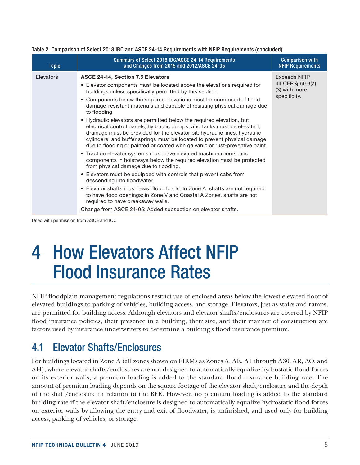| <b>Topic</b> | Summary of Select 2018 IBC/ASCE 24-14 Requirements<br>and Changes from 2015 and 2012/ASCE 24-05                                                                                                                                                                                                                                                                                                                                                                                                                                                                                                                                                                                                                                                                                                                                                                                                                                                                                                                                                                                                                                                                                                                                                                                                             | <b>Comparison with</b><br><b>NFIP Requirements</b>                       |
|--------------|-------------------------------------------------------------------------------------------------------------------------------------------------------------------------------------------------------------------------------------------------------------------------------------------------------------------------------------------------------------------------------------------------------------------------------------------------------------------------------------------------------------------------------------------------------------------------------------------------------------------------------------------------------------------------------------------------------------------------------------------------------------------------------------------------------------------------------------------------------------------------------------------------------------------------------------------------------------------------------------------------------------------------------------------------------------------------------------------------------------------------------------------------------------------------------------------------------------------------------------------------------------------------------------------------------------|--------------------------------------------------------------------------|
| Elevators    | <b>ASCE 24-14, Section 7.5 Elevators</b><br>• Elevator components must be located above the elevations required for<br>buildings unless specifically permitted by this section.<br>• Components below the required elevations must be composed of flood<br>damage-resistant materials and capable of resisting physical damage due<br>to flooding.<br>• Hydraulic elevators are permitted below the required elevation, but<br>electrical control panels, hydraulic pumps, and tanks must be elevated;<br>drainage must be provided for the elevator pit; hydraulic lines, hydraulic<br>cylinders, and buffer springs must be located to prevent physical damage<br>due to flooding or painted or coated with galvanic or rust-preventive paint.<br>• Traction elevator systems must have elevated machine rooms, and<br>components in hoistways below the required elevation must be protected<br>from physical damage due to flooding.<br>• Elevators must be equipped with controls that prevent cabs from<br>descending into floodwater.<br>• Elevator shafts must resist flood loads. In Zone A, shafts are not required<br>to have flood openings; in Zone V and Coastal A Zones, shafts are not<br>required to have breakaway walls.<br>Change from ASCE 24-05: Added subsection on elevator shafts. | <b>Exceeds NFIP</b><br>44 CFR § 60.3(a)<br>(3) with more<br>specificity. |

#### <span id="page-8-0"></span>Table 2. Comparison of Select 2018 IBC and ASCE 24-14 Requirements with NFIP Requirements (concluded)

Used with permission from ASCE and ICC

## 4 How Elevators Affect NFIP Flood Insurance Rates

NFIP floodplain management regulations restrict use of enclosed areas below the lowest elevated floor of elevated buildings to parking of vehicles, building access, and storage. Elevators, just as stairs and ramps, are permitted for building access. Although elevators and elevator shafts/enclosures are covered by NFIP flood insurance policies, their presence in a building, their size, and their manner of construction are factors used by insurance underwriters to determine a building's flood insurance premium.

## 4.1 Elevator Shafts/Enclosures

For buildings located in Zone A (all zones shown on FIRMs as Zones A, AE, A1 through A30, AR, AO, and AH), where elevator shafts/enclosures are not designed to automatically equalize hydrostatic flood forces on its exterior walls, a premium loading is added to the standard flood insurance building rate. The amount of premium loading depends on the square footage of the elevator shaft/enclosure and the depth of the shaft/enclosure in relation to the BFE. However, no premium loading is added to the standard building rate if the elevator shaft/enclosure is designed to automatically equalize hydrostatic flood forces on exterior walls by allowing the entry and exit of floodwater, is unfinished, and used only for building access, parking of vehicles, or storage.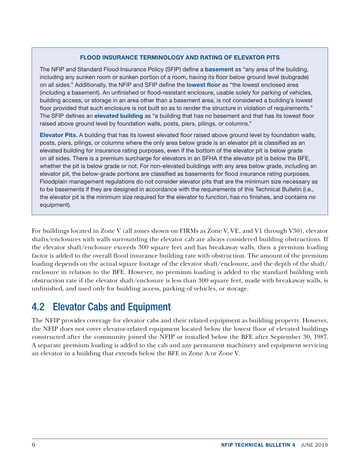### FLOOD INSURANCE TERMINOLOGY AND RATING OF ELEVATOR PITS

<span id="page-9-0"></span>The NFIP and Standard Flood Insurance Policy (SFIP) define a **basement** as "any area of the building, including any sunken room or sunken portion of a room, having its floor below ground level (subgrade) on all sides." Additionally, the NFIP and SFIP define the lowest floor as "the lowest enclosed area (including a basement). An unfinished or flood-resistant enclosure, usable solely for parking of vehicles, building access, or storage in an area other than a basement area, is not considered a building's lowest floor provided that such enclosure is not built so as to render the structure in violation of requirements." The SFIP defines an elevated building as "a building that has no basement and that has its lowest floor raised above ground level by foundation walls, posts, piers, pilings, or columns."

Elevator Pits. A building that has its lowest elevated floor raised above ground level by foundation walls, posts, piers, pilings, or columns where the only area below grade is an elevator pit is classified as an elevated building for insurance rating purposes, even if the bottom of the elevator pit is below grade on all sides. There is a premium surcharge for elevators in an SFHA if the elevator pit is below the BFE, whether the pit is below grade or not. For non-elevated buildings with any area below grade, including an elevator pit, the below-grade portions are classified as basements for flood insurance rating purposes. Floodplain management regulations do not consider elevator pits that are the minimum size necessary as to be basements if they are designed in accordance with the requirements of this Technical Bulletin (i.e., the elevator pit is the minimum size required for the elevator to function, has no finishes, and contains no equipment).

For buildings located in Zone V (all zones shown on FIRMs as Zone V, VE, and V1 through V30), elevator shafts/enclosures with walls surrounding the elevator cab are always considered building obstructions. If the elevator shaft/enclosure exceeds 300 square feet and has breakaway walls, then a premium loading factor is added to the overall flood insurance building rate with obstruction. The amount of the premium loading depends on the actual square footage of the elevator shaft/enclosure, and the depth of the shaft/ enclosure in relation to the BFE. However, no premium loading is added to the standard building with obstruction rate if the elevator shaft/enclosure is less than 300 square feet, made with breakaway walls, is unfinished, and used only for building access, parking of vehicles, or storage.

## 4.2 Elevator Cabs and Equipment

The NFIP provides coverage for elevator cabs and their related equipment as building property. However, the NFIP does not cover elevator-related equipment located below the lowest floor of elevated buildings constructed after the community joined the NFIP or installed below the BFE after September 30, 1987. A separate premium loading is added to the cab and any permanent machinery and equipment servicing an elevator in a building that extends below the BFE in Zone A or Zone V.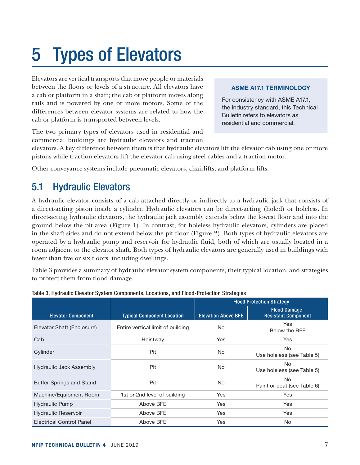## <span id="page-10-0"></span>5 Types of Elevators

Elevators are vertical transports that move people or materials between the floors or levels of a structure. All elevators have a cab or platform in a shaft; the cab or platform moves along rails and is powered by one or more motors. Some of the differences between elevator systems are related to how the cab or platform is transported between levels.

#### ASME A17.1 TERMINOLOGY

For consistency with ASME A17.1, the industry standard, this Technical Bulletin refers to elevators as residential and commercial.

The two primary types of elevators used in residential and commercial buildings are hydraulic elevators and traction

elevators. A key difference between them is that hydraulic elevators lift the elevator cab using one or more pistons while traction elevators lift the elevator cab using steel cables and a traction motor.

Other conveyance systems include pneumatic elevators, chairlifts, and platform lifts.

## 5.1 Hydraulic Elevators

A hydraulic elevator consists of a cab attached directly or indirectly to a hydraulic jack that consists of a direct-acting piston inside a cylinder. Hydraulic elevators can be direct-acting (holed) or holeless. In direct-acting hydraulic elevators, the hydraulic jack assembly extends below the lowest floor and into the ground below the pit area (Figure 1). In contrast, for holeless hydraulic elevators, cylinders are placed in the shaft sides and do not extend below the pit floor (Figure 2). Both types of hydraulic elevators are operated by a hydraulic pump and reservoir for hydraulic fluid, both of which are usually located in a room adjacent to the elevator shaft. Both types of hydraulic elevators are generally used in buildings with fewer than five or six floors, including dwellings.

Table 3 provides a summary of hydraulic elevator system components, their typical location, and strategies to protect them from flood damage.

|                                 |                                   | <b>Flood Protection Strategy</b> |                                                    |  |
|---------------------------------|-----------------------------------|----------------------------------|----------------------------------------------------|--|
| <b>Elevator Component</b>       | <b>Typical Component Location</b> | <b>Elevation Above BFE</b>       | <b>Flood Damage-</b><br><b>Resistant Component</b> |  |
| Elevator Shaft (Enclosure)      | Entire vertical limit of building | <b>No</b>                        | Yes<br>Below the BFE                               |  |
| Cab                             | Hoistway                          | <b>Yes</b>                       | <b>Yes</b>                                         |  |
| Cylinder                        | Pit                               | <b>No</b>                        | No.<br>Use holeless (see Table 5)                  |  |
| Hydraulic Jack Assembly         | Pit                               | <b>No</b>                        | No.<br>Use holeless (see Table 5)                  |  |
| <b>Buffer Springs and Stand</b> | Pit                               | No.                              | <b>No</b><br>Paint or coat (see Table 6)           |  |
| Machine/Equipment Room          | 1st or 2nd level of building      | <b>Yes</b>                       | <b>Yes</b>                                         |  |
| Hydraulic Pump                  | Above BFE                         | Yes                              | Yes                                                |  |
| <b>Hydraulic Reservoir</b>      | Above BFE                         | Yes                              | Yes                                                |  |
| <b>Electrical Control Panel</b> | Above BFE                         | Yes                              | No.                                                |  |

Table 3. Hydraulic Elevator System Components, Locations, and Flood-Protection Strategies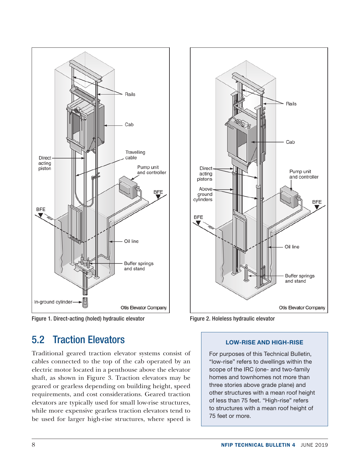<span id="page-11-0"></span>

Figure 1. Direct-acting (holed) hydraulic elevator



Traditional geared traction elevator systems consist of cables connected to the top of the cab operated by an electric motor located in a penthouse above the elevator shaft, as shown in Figure 3. Traction elevators may be geared or gearless depending on building height, speed requirements, and cost considerations. Geared traction elevators are typically used for small low-rise structures, while more expensive gearless traction elevators tend to be used for larger high-rise structures, where speed is



Figure 2. Holeless hydraulic elevator

#### LOW-RISE AND HIGH-RISE

For purposes of this Technical Bulletin, "low-rise" refers to dwellings within the scope of the IRC (one- and two-family homes and townhomes not more than three stories above grade plane) and other structures with a mean roof height of less than 75 feet. "High-rise" refers to structures with a mean roof height of 75 feet or more.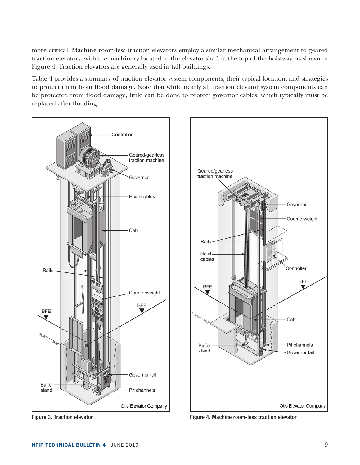<span id="page-12-0"></span>more critical. Machine room-less traction elevators employ a similar mechanical arrangement to geared traction elevators, with the machinery located in the elevator shaft at the top of the hoistway, as shown in Figure 4. Traction elevators are generally used in tall buildings.

Table 4 provides a summary of traction elevator system components, their typical location, and strategies to protect them from flood damage. Note that while nearly all traction elevator system components can be protected from flood damage, little can be done to protect governor cables, which typically must be replaced after flooding.



NFIP TECHNICAL BULLETIN 4 JUNE 2019 99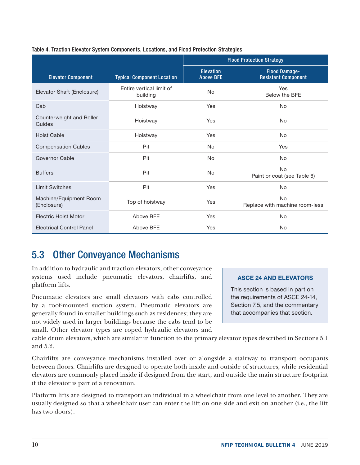|                                       |                                      | <b>Flood Protection Strategy</b>     |                                                    |  |
|---------------------------------------|--------------------------------------|--------------------------------------|----------------------------------------------------|--|
| <b>Elevator Component</b>             | <b>Typical Component Location</b>    | <b>Elevation</b><br><b>Above BFE</b> | <b>Flood Damage-</b><br><b>Resistant Component</b> |  |
| Elevator Shaft (Enclosure)            | Entire vertical limit of<br>building | <b>No</b>                            | Yes<br>Below the BFE                               |  |
| Cab                                   | Hoistway                             | Yes                                  | <b>No</b>                                          |  |
| Counterweight and Roller<br>Guides    | Hoistway                             | Yes                                  | <b>No</b>                                          |  |
| <b>Hoist Cable</b>                    | Hoistway                             | Yes                                  | <b>No</b>                                          |  |
| <b>Compensation Cables</b>            | Pit                                  | No                                   | Yes                                                |  |
| Governor Cable                        | Pit                                  | <b>No</b>                            | <b>No</b>                                          |  |
| <b>Buffers</b>                        | Pit                                  | <b>No</b>                            | <b>No</b><br>Paint or coat (see Table 6)           |  |
| <b>Limit Switches</b>                 | Pit                                  | Yes                                  | <b>No</b>                                          |  |
| Machine/Equipment Room<br>(Enclosure) | Top of hoistway                      | Yes                                  | <b>No</b><br>Replace with machine room-less        |  |
| <b>Electric Hoist Motor</b>           | Above BFE                            | Yes                                  | <b>No</b>                                          |  |
| <b>Electrical Control Panel</b>       | Above BFE                            | Yes                                  | No                                                 |  |

### Table 4. Traction Elevator System Components, Locations, and Flood Protection Strategies

## 5.3 Other Conveyance Mechanisms

In addition to hydraulic and traction elevators, other conveyance systems used include pneumatic elevators, chairlifts, and platform lifts.

Pneumatic elevators are small elevators with cabs controlled by a roof-mounted suction system. Pneumatic elevators are generally found in smaller buildings such as residences; they are not widely used in larger buildings because the cabs tend to be small. Other elevator types are roped hydraulic elevators and

### ASCE 24 AND ELEVATORS

This section is based in part on the requirements of ASCE 24-14, Section 7.5, and the commentary that accompanies that section.

cable drum elevators, which are similar in function to the primary elevator types described in Sections 5.1 and 5.2.

Chairlifts are conveyance mechanisms installed over or alongside a stairway to transport occupants between floors. Chairlifts are designed to operate both inside and outside of structures, while residential elevators are commonly placed inside if designed from the start, and outside the main structure footprint if the elevator is part of a renovation.

Platform lifts are designed to transport an individual in a wheelchair from one level to another. They are usually designed so that a wheelchair user can enter the lift on one side and exit on another (i.e., the lift has two doors).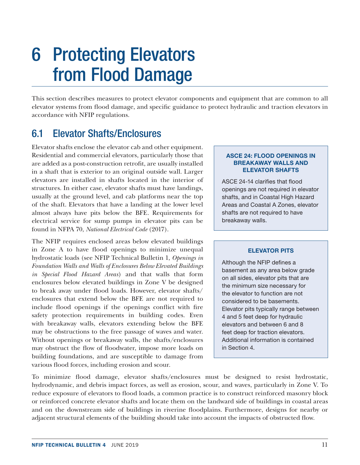## <span id="page-14-0"></span>6 Protecting Elevators from Flood Damage

This section describes measures to protect elevator components and equipment that are common to all elevator systems from flood damage, and specific guidance to protect hydraulic and traction elevators in accordance with NFIP regulations.

## 6.1 Elevator Shafts/Enclosures

Elevator shafts enclose the elevator cab and other equipment. Residential and commercial elevators, particularly those that are added as a post-construction retrofit, are usually installed in a shaft that is exterior to an original outside wall. Larger elevators are installed in shafts located in the interior of structures. In either case, elevator shafts must have landings, usually at the ground level, and cab platforms near the top of the shaft. Elevators that have a landing at the lower level almost always have pits below the BFE. Requirements for electrical service for sump pumps in elevator pits can be found in NFPA 70, *National Electrical Code* (2017).

The NFIP requires enclosed areas below elevated buildings in Zone A to have flood openings to minimize unequal hydrostatic loads (see NFIP Technical Bulletin 1, *Openings in Foundation Walls and Walls of Enclosures Below Elevated Buildings in Special Flood Hazard Areas*) and that walls that form enclosures below elevated buildings in Zone V be designed to break away under flood loads. However, elevator shafts/ enclosures that extend below the BFE are not required to include flood openings if the openings conflict with fire safety protection requirements in building codes. Even with breakaway walls, elevators extending below the BFE may be obstructions to the free passage of waves and water. Without openings or breakaway walls, the shafts/enclosures may obstruct the flow of floodwater, impose more loads on building foundations, and are susceptible to damage from various flood forces, including erosion and scour.

#### ASCE 24: FLOOD OPENINGS IN BREAKAWAY WALLS AND ELEVATOR SHAFTS

ASCE 24-14 clarifies that flood openings are not required in elevator shafts, and in Coastal High Hazard Areas and Coastal A Zones, elevator shafts are not required to have breakaway walls.

### ELEVATOR PITS

Although the NFIP defines a basement as any area below grade on all sides, elevator pits that are the minimum size necessary for the elevator to function are not considered to be basements. Elevator pits typically range between 4 and 5 feet deep for hydraulic elevators and between 6 and 8 feet deep for traction elevators. Additional information is contained in Section 4.

To minimize flood damage, elevator shafts/enclosures must be designed to resist hydrostatic, hydrodynamic, and debris impact forces, as well as erosion, scour, and waves, particularly in Zone V. To reduce exposure of elevators to flood loads, a common practice is to construct reinforced masonry block or reinforced concrete elevator shafts and locate them on the landward side of buildings in coastal areas and on the downstream side of buildings in riverine floodplains. Furthermore, designs for nearby or adjacent structural elements of the building should take into account the impacts of obstructed flow.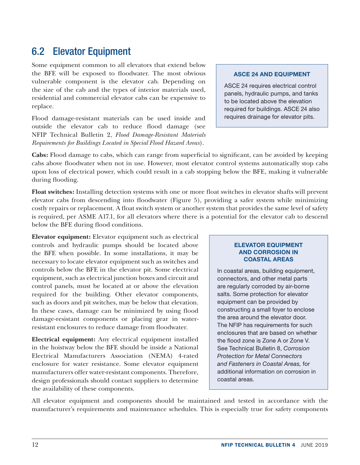## <span id="page-15-0"></span>6.2 Elevator Equipment

Some equipment common to all elevators that extend below the BFE will be exposed to floodwater. The most obvious vulnerable component is the elevator cab. Depending on the size of the cab and the types of interior materials used, residential and commercial elevator cabs can be expensive to replace.

Flood damage-resistant materials can be used inside and outside the elevator cab to reduce flood damage (see NFIP Technical Bulletin 2, *Flood Damage-Resistant Materials Requirements for Buildings Located in Special Flood Hazard Areas*).

#### ASCE 24 AND EQUIPMENT

ASCE 24 requires electrical control panels, hydraulic pumps, and tanks to be located above the elevation required for buildings. ASCE 24 also requires drainage for elevator pits.

**Cabs:** Flood damage to cabs, which can range from superficial to significant, can be avoided by keeping cabs above floodwater when not in use. However, most elevator control systems automatically stop cabs upon loss of electrical power, which could result in a cab stopping below the BFE, making it vulnerable during flooding.

**Float switches:** Installing detection systems with one or more float switches in elevator shafts will prevent elevator cabs from descending into floodwater (Figure 5), providing a safer system while minimizing costly repairs or replacement. A float switch system or another system that provides the same level of safety is required, per ASME A17.1, for all elevators where there is a potential for the elevator cab to descend below the BFE during flood conditions.

**Elevator equipment:** Elevator equipment such as electrical controls and hydraulic pumps should be located above the BFE when possible. In some installations, it may be necessary to locate elevator equipment such as switches and controls below the BFE in the elevator pit. Some electrical equipment, such as electrical junction boxes and circuit and control panels, must be located at or above the elevation required for the building. Other elevator components, such as doors and pit switches, may be below that elevation. In these cases, damage can be minimized by using flood damage-resistant components or placing gear in waterresistant enclosures to reduce damage from floodwater.

**Electrical equipment:** Any electrical equipment installed in the hoistway below the BFE should be inside a National Electrical Manufacturers Association (NEMA) 4-rated enclosure for water resistance. Some elevator equipment manufacturers offer water-resistant components. Therefore, design professionals should contact suppliers to determine the availability of these components.

#### ELEVATOR EQUIPMENT AND CORROSION IN COASTAL AREAS

In coastal areas, building equipment, connectors, and other metal parts are regularly corroded by air-borne salts. Some protection for elevator equipment can be provided by constructing a small foyer to enclose the area around the elevator door. The NFIP has requirements for such enclosures that are based on whether the flood zone is Zone A or Zone V. See Technical Bulletin 8, *Corrosion Protection for Metal Connectors and Fasteners in Coastal Areas,* for additional information on corrosion in coastal areas.

All elevator equipment and components should be maintained and tested in accordance with the manufacturer's requirements and maintenance schedules. This is especially true for safety components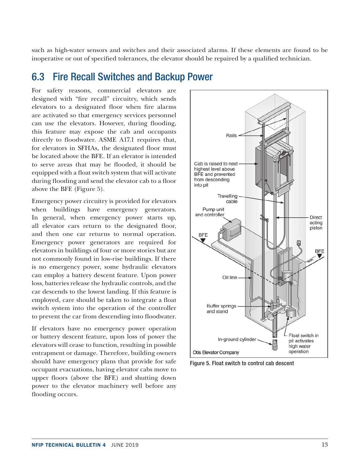<span id="page-16-0"></span>such as high-water sensors and switches and their associated alarms. If these elements are found to be inoperative or out of specified tolerances, the elevator should be repaired by a qualified technician.

### 6.3 Fire Recall Switches and Backup Power

For safety reasons, commercial elevators are designed with "fire recall" circuitry, which sends elevators to a designated floor when fire alarms are activated so that emergency services personnel can use the elevators. However, during flooding, this feature may expose the cab and occupants directly to floodwater. ASME A17.1 requires that, for elevators in SFHAs, the designated floor must be located above the BFE. If an elevator is intended to serve areas that may be flooded, it should be equipped with a float switch system that will activate during flooding and send the elevator cab to a floor above the BFE (Figure 5).

Emergency power circuitry is provided for elevators when buildings have emergency generators. In general, when emergency power starts up, all elevator cars return to the designated floor, and then one car returns to normal operation. Emergency power generators are required for elevators in buildings of four or more stories but are not commonly found in low-rise buildings. If there is no emergency power, some hydraulic elevators can employ a battery descent feature. Upon power loss, batteries release the hydraulic controls, and the car descends to the lowest landing. If this feature is employed, care should be taken to integrate a float switch system into the operation of the controller to prevent the car from descending into floodwater.

If elevators have no emergency power operation or battery descent feature, upon loss of power the elevators will cease to function, resulting in possible entrapment or damage. Therefore, building owners should have emergency plans that provide for safe occupant evacuations, having elevator cabs move to upper floors (above the BFE) and shutting down power to the elevator machinery well before any flooding occurs.



Figure 5. Float switch to control cab descent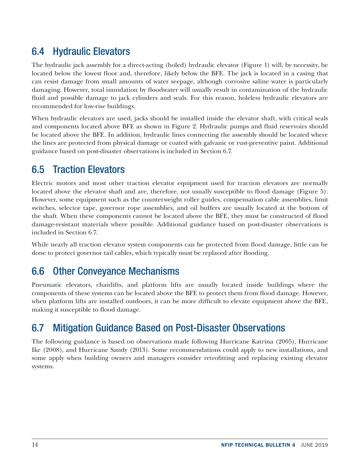## <span id="page-17-0"></span>6.4 Hydraulic Elevators

The hydraulic jack assembly for a direct-acting (holed) hydraulic elevator (Figure 1) will, by necessity, be located below the lowest floor and, therefore, likely below the BFE. The jack is located in a casing that can resist damage from small amounts of water seepage, although corrosive saline water is particularly damaging. However, total inundation by floodwater will usually result in contamination of the hydraulic fluid and possible damage to jack cylinders and seals. For this reason, holeless hydraulic elevators are recommended for low-rise buildings.

When hydraulic elevators are used, jacks should be installed inside the elevator shaft, with critical seals and components located above BFE as shown in Figure 2. Hydraulic pumps and fluid reservoirs should be located above the BFE. In addition, hydraulic lines connecting the assembly should be located where the lines are protected from physical damage or coated with galvanic or rust-preventive paint. Additional guidance based on post-disaster observations is included in Section 6.7.

## 6.5 Traction Elevators

Electric motors and most other traction elevator equipment used for traction elevators are normally located above the elevator shaft and are, therefore, not usually susceptible to flood damage (Figure 5). However, some equipment such as the counterweight roller guides, compensation cable assemblies, limit switches, selector tape, governor rope assemblies, and oil buffers are usually located at the bottom of the shaft. When these components cannot be located above the BFE, they must be constructed of flood damage-resistant materials where possible. Additional guidance based on post-disaster observations is included in Section 6.7.

While nearly all traction elevator system components can be protected from flood damage, little can be done to protect governor tail cables, which typically must be replaced after flooding.

## 6.6 Other Conveyance Mechanisms

Pneumatic elevators, chairlifts, and platform lifts are usually located inside buildings where the components of these systems can be located above the BFE to protect them from flood damage. However, when platform lifts are installed outdoors, it can be more difficult to elevate equipment above the BFE, making it susceptible to flood damage.

## 6.7 Mitigation Guidance Based on Post-Disaster Observations

The following guidance is based on observations made following Hurricane Katrina (2005), Hurricane Ike (2008), and Hurricane Sandy (2013). Some recommendations could apply to new installations, and some apply when building owners and managers consider retrofitting and replacing existing elevator systems.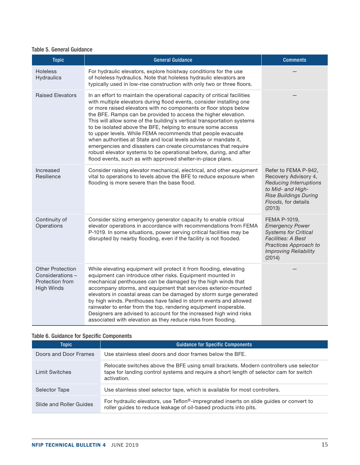#### <span id="page-18-0"></span>Table 5. General Guidance

| <b>Topic</b>                                                                       | <b>General Guidance</b>                                                                                                                                                                                                                                                                                                                                                                                                                                                                                                                                                                                                                                                                                                                                                     | <b>Comments</b>                                                                                                                                                       |
|------------------------------------------------------------------------------------|-----------------------------------------------------------------------------------------------------------------------------------------------------------------------------------------------------------------------------------------------------------------------------------------------------------------------------------------------------------------------------------------------------------------------------------------------------------------------------------------------------------------------------------------------------------------------------------------------------------------------------------------------------------------------------------------------------------------------------------------------------------------------------|-----------------------------------------------------------------------------------------------------------------------------------------------------------------------|
| <b>Holeless</b><br><b>Hydraulics</b>                                               | For hydraulic elevators, explore hoistway conditions for the use<br>of holeless hydraulics. Note that holeless hydraulic elevators are<br>typically used in low-rise construction with only two or three floors.                                                                                                                                                                                                                                                                                                                                                                                                                                                                                                                                                            |                                                                                                                                                                       |
| <b>Raised Elevators</b>                                                            | In an effort to maintain the operational capacity of critical facilities<br>with multiple elevators during flood events, consider installing one<br>or more raised elevators with no components or floor stops below<br>the BFE. Ramps can be provided to access the higher elevation.<br>This will allow some of the building's vertical transportation systems<br>to be isolated above the BFE, helping to ensure some access<br>to upper levels. While FEMA recommends that people evacuate<br>when authorities at State and local levels advise or mandate it,<br>emergencies and disasters can create circumstances that require<br>robust elevator systems to be operational before, during, and after<br>flood events, such as with approved shelter-in-place plans. |                                                                                                                                                                       |
| Increased<br>Resilience                                                            | Consider raising elevator mechanical, electrical, and other equipment<br>vital to operations to levels above the BFE to reduce exposure when<br>flooding is more severe than the base flood.                                                                                                                                                                                                                                                                                                                                                                                                                                                                                                                                                                                | Refer to FEMA P-942,<br>Recovery Advisory 4,<br><b>Reducing Interruptions</b><br>to Mid- and High-<br><b>Rise Buildings During</b><br>Floods, for details<br>(2013)   |
| Continuity of<br>Operations                                                        | Consider sizing emergency generator capacity to enable critical<br>elevator operations in accordance with recommendations from FEMA<br>P-1019. In some situations, power serving critical facilities may be<br>disrupted by nearby flooding, even if the facility is not flooded.                                                                                                                                                                                                                                                                                                                                                                                                                                                                                           | FEMA P-1019,<br><b>Emergency Power</b><br><b>Systems for Critical</b><br><b>Facilities: A Best</b><br>Practices Approach to<br><b>Improving Reliability</b><br>(2014) |
| <b>Other Protection</b><br>Considerations-<br>Protection from<br><b>High Winds</b> | While elevating equipment will protect it from flooding, elevating<br>equipment can introduce other risks. Equipment mounted in<br>mechanical penthouses can be damaged by the high winds that<br>accompany storms, and equipment that services exterior-mounted<br>elevators in coastal areas can be damaged by storm surge generated<br>by high winds. Penthouses have failed in storm events and allowed<br>rainwater to enter from the top, rendering equipment inoperable.<br>Designers are advised to account for the increased high wind risks<br>associated with elevation as they reduce risks from flooding.                                                                                                                                                      |                                                                                                                                                                       |

### Table 6. Guidance for Specific Components

| <b>Topic</b>            | <b>Guidance for Specific Components</b>                                                                                                                                                        |
|-------------------------|------------------------------------------------------------------------------------------------------------------------------------------------------------------------------------------------|
| Doors and Door Frames   | Use stainless steel doors and door frames below the BFE.                                                                                                                                       |
| <b>Limit Switches</b>   | Relocate switches above the BFE using small brackets. Modern controllers use selector<br>tape for landing control systems and require a short length of selector cam for switch<br>activation. |
| <b>Selector Tape</b>    | Use stainless steel selector tape, which is available for most controllers.                                                                                                                    |
| Slide and Roller Guides | For hydraulic elevators, use Teflon®-impregnated inserts on slide guides or convert to<br>roller guides to reduce leakage of oil-based products into pits.                                     |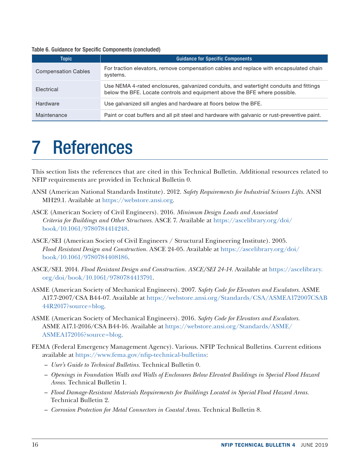<span id="page-19-0"></span>

|  |  |  |  |  | Table 6. Guidance for Specific Components (concluded) |  |
|--|--|--|--|--|-------------------------------------------------------|--|
|--|--|--|--|--|-------------------------------------------------------|--|

| <b>Topic</b>               | <b>Guidance for Specific Components</b>                                                                                                                              |
|----------------------------|----------------------------------------------------------------------------------------------------------------------------------------------------------------------|
| <b>Compensation Cables</b> | For traction elevators, remove compensation cables and replace with encapsulated chain<br>systems.                                                                   |
| Electrical                 | Use NEMA 4-rated enclosures, galvanized conduits, and watertight conduits and fittings<br>below the BFE. Locate controls and equipment above the BFE where possible. |
| Hardware                   | Use galvanized sill angles and hardware at floors below the BFE.                                                                                                     |
| Maintenance                | Paint or coat buffers and all pit steel and hardware with galvanic or rust-preventive paint.                                                                         |

## 7 References

This section lists the references that are cited in this Technical Bulletin. Additional resources related to NFIP requirements are provided in Technical Bulletin 0.

- ANSI (American National Standards Institute). 2012. *Safety Requirements for Industrial Scissors Lifts.* ANSI MH29.1. Available at [https://webstore.ansi.org.](https://webstore.ansi.org/)
- ASCE (American Society of Civil Engineers). 2016. *Minimum Design Loads and Associated Criteria for Buildings and Other Structures.* ASCE 7. Available at [https://ascelibrary.org/doi/](https://ascelibrary.org/doi/book/10.1061/9780784414248) [book/10.1061/9780784414248.](https://ascelibrary.org/doi/book/10.1061/9780784414248)
- ASCE/SEI (American Society of Civil Engineers / Structural Engineering Institute). 2005. *Flood Resistant Design and Construction.* ASCE 24-05. Available at [https://ascelibrary.org/doi/](https://ascelibrary.org/doi/book/10.1061/9780784408186) [book/10.1061/9780784408186](https://ascelibrary.org/doi/book/10.1061/9780784408186).
- ASCE/SEI. 2014. *Flood Resistant Design and Construction. ASCE/SEI 24-14.* Available at [https://ascelibrary.](https://ascelibrary.org/doi/book/10.1061/9780784413791) [org/doi/book/10.1061/9780784413791](https://ascelibrary.org/doi/book/10.1061/9780784413791).
- ASME (American Society of Mechanical Engineers). 2007. *Safety Code for Elevators and Escalators.* ASME A17.7-2007/CSA B44-07. Available at [https://webstore.ansi.org/Standards/CSA/ASMEA172007CSAB](https://webstore.ansi.org/Standards/CSA/ASMEA172007CSAB44R2017?source=blog) [44R2017?source=blog.](https://webstore.ansi.org/Standards/CSA/ASMEA172007CSAB44R2017?source=blog)
- ASME (American Society of Mechanical Engineers). 2016. *Safety Code for Elevators and Escalators.*  ASME A17.1-2016/CSA B44-16. Available at [https://webstore.ansi.org/Standards/ASME/](https://webstore.ansi.org/Standards/ASME/ASMEA172016?source=blog) [ASMEA172016?source=blog](https://webstore.ansi.org/Standards/ASME/ASMEA172016?source=blog).
- FEMA (Federal Emergency Management Agency). Various. NFIP Technical Bulletins. Current editions available at<https://www.fema.gov/nfip-technical-bulletins>:
	- *User's Guide to Technical Bulletins.* Technical Bulletin 0.
	- *Openings in Foundation Walls and Walls of Enclosures Below Elevated Buildings in Special Flood Hazard Areas.* Technical Bulletin 1.
	- *Flood Damage-Resistant Materials Requirements for Buildings Located in Special Flood Hazard Areas.* Technical Bulletin 2.
	- *Corrosion Protection for Metal Connectors in Coastal Areas.* Technical Bulletin 8.